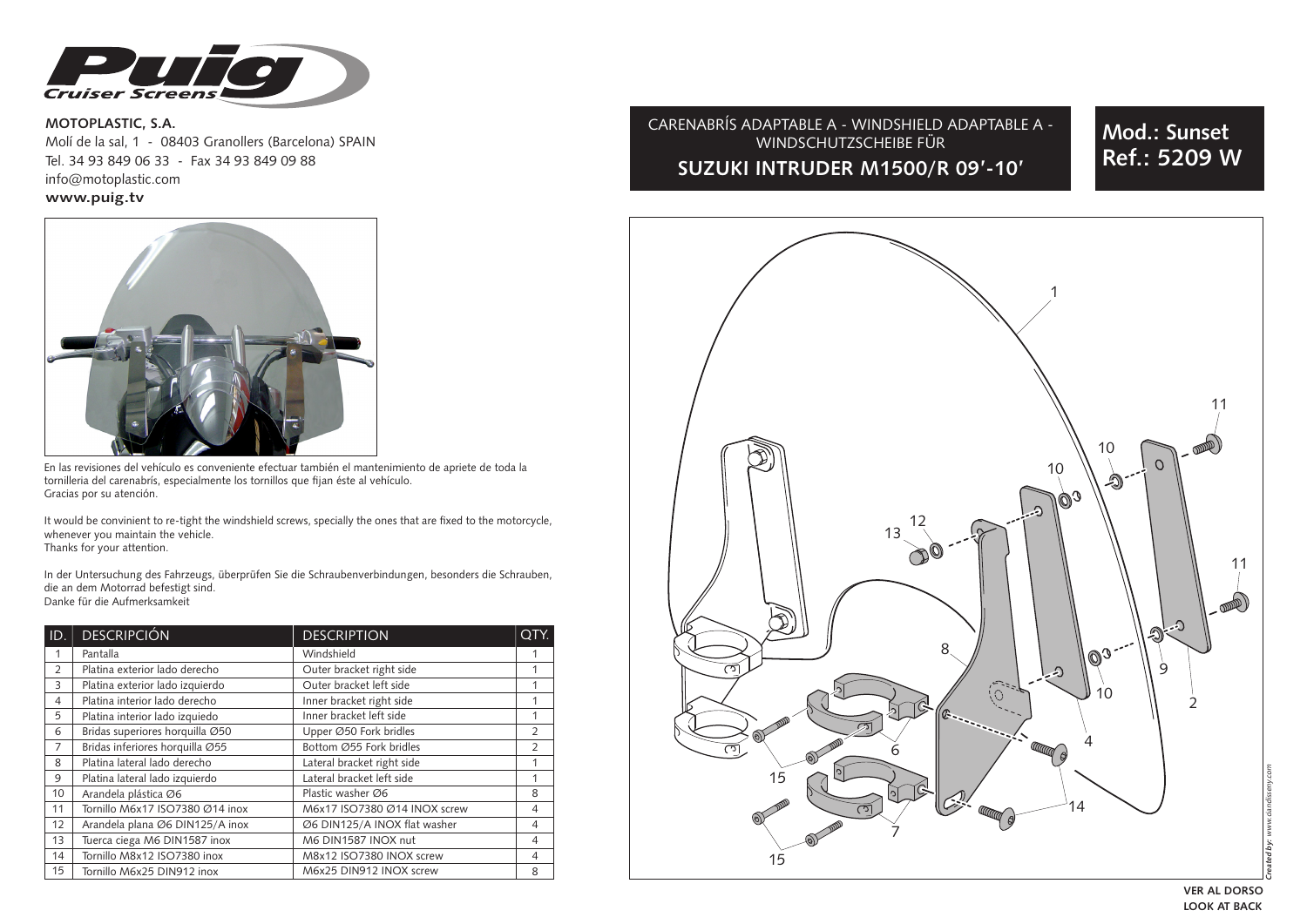

**MOTOPLASTIC, S.A.**  Molí de la sal, 1 - 08403 Granollers (Barcelona) SPAIN Tel. 34 93 849 06 33 - Fax 34 93 849 09 88info@motoplastic.com **www.puig.tv**



En las revisiones del vehículo es conveniente efectuar también el mantenimiento de apriete de toda la tornilleria del carenabrís, especialmente los tornillos que fijan éste al vehículo. Gracias por su atención.

It would be convinient to re-tight the windshield screws, specially the ones that are fixed to the motorcycle, whenever you maintain the vehicle. Thanks for your attention.

In der Untersuchung des Fahrzeugs, überprüfen Sie die Schraubenverbindungen, besonders die Schrauben, die an dem Motorrad befestigt sind. Danke für die Aufmerksamkeit

| ID.            | <b>DESCRIPCIÓN</b>              | <b>DESCRIPTION</b>           |                |
|----------------|---------------------------------|------------------------------|----------------|
| 1              | Pantalla                        | Windshield                   |                |
| $\overline{2}$ | Platina exterior lado derecho   | Outer bracket right side     | 1              |
| 3              | Platina exterior lado izquierdo | Outer bracket left side      |                |
| $\overline{4}$ | Platina interior lado derecho   | Inner bracket right side     | 1              |
| 5              | Platina interior lado izquiedo  | Inner bracket left side      | 1              |
| 6              | Bridas superiores horquilla Ø50 | Upper Ø50 Fork bridles       | $\overline{2}$ |
| 7              | Bridas inferiores horquilla Ø55 | Bottom Ø55 Fork bridles      | $\overline{2}$ |
| 8              | Platina lateral lado derecho    | Lateral bracket right side   | 1              |
| 9              | Platina lateral lado izquierdo  | Lateral bracket left side    | 1              |
| 10             | Arandela plástica Ø6            | Plastic washer Ø6            | 8              |
| 11             | Tornillo M6x17 ISO7380 Ø14 inox | M6x17 ISO7380 Ø14 INOX screw | 4              |
| 12             | Arandela plana Ø6 DIN125/A inox | Ø6 DIN125/A INOX flat washer | 4              |
| 13             | Tuerca ciega M6 DIN1587 inox    | M6 DIN1587 INOX nut          | 4              |
| 14             | Tornillo M8x12 ISO7380 inox     | M8x12 ISO7380 INOX screw     | 4              |
| 15             | Tornillo M6x25 DIN912 inox      | M6x25 DIN912 INOX screw      | 8              |

# CARENABRÍS ADAPTABLE A - WINDSHIELD ADAPTABLE A - WINDSCHUTZSCHEIBE FÜR **SUZUKI INTRUDER M1500/R 09'-10'**

**Mod.: Sunset Ref.: 5209 W**